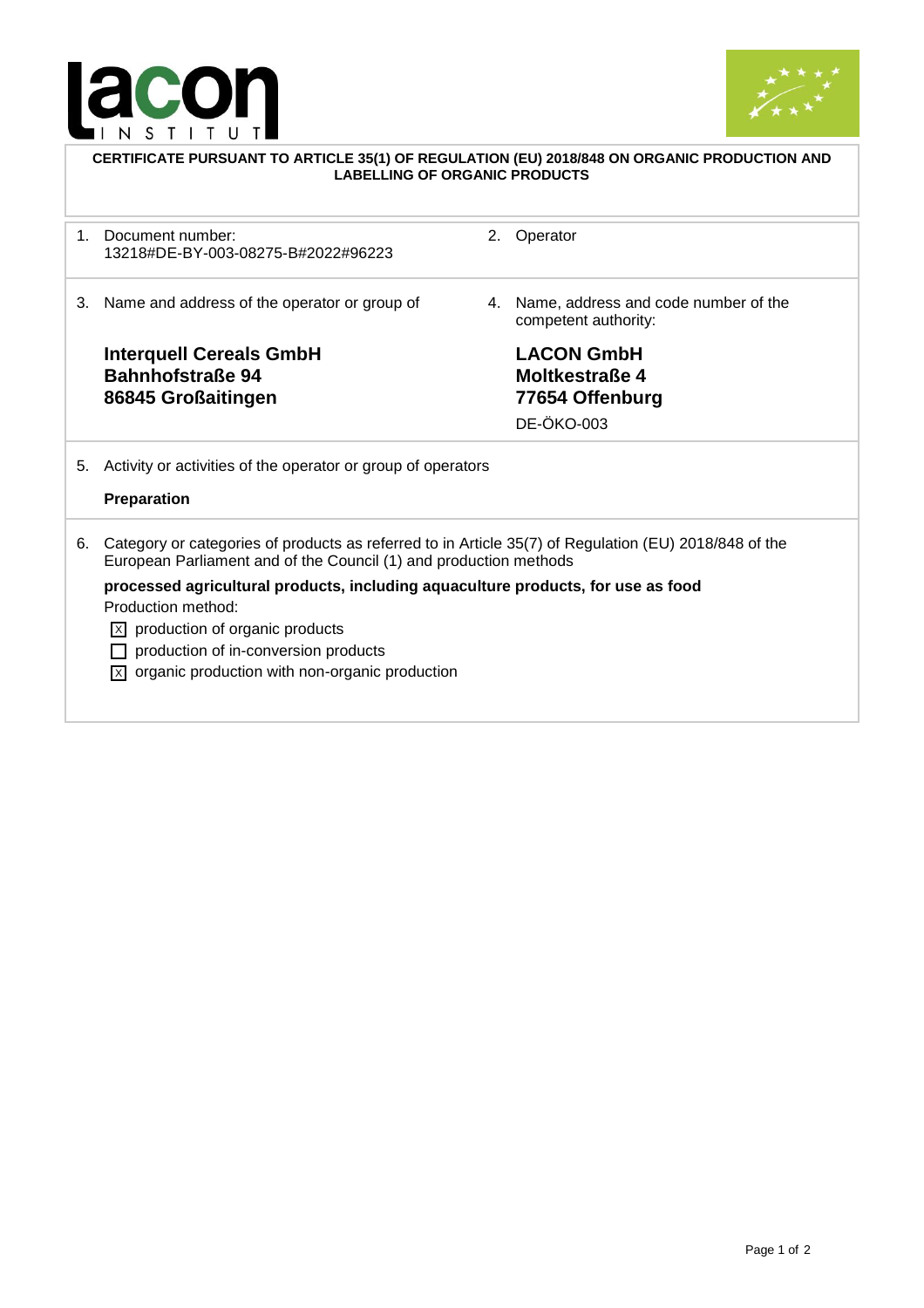



| CERTIFICATE PURSUANT TO ARTICLE 35(1) OF REGULATION (EU) 2018/848 ON ORGANIC PRODUCTION AND<br><b>LABELLING OF ORGANIC PRODUCTS</b> |                                                                                                                                                                                                                                                                                                                                                                                                                                          |    |                                                                                    |  |
|-------------------------------------------------------------------------------------------------------------------------------------|------------------------------------------------------------------------------------------------------------------------------------------------------------------------------------------------------------------------------------------------------------------------------------------------------------------------------------------------------------------------------------------------------------------------------------------|----|------------------------------------------------------------------------------------|--|
| $1_{-}$                                                                                                                             | Document number:<br>13218#DE-BY-003-08275-B#2022#96223                                                                                                                                                                                                                                                                                                                                                                                   | 2. | Operator                                                                           |  |
| 3.                                                                                                                                  | Name and address of the operator or group of                                                                                                                                                                                                                                                                                                                                                                                             | 4. | Name, address and code number of the<br>competent authority:                       |  |
|                                                                                                                                     | <b>Interquell Cereals GmbH</b><br><b>Bahnhofstraße 94</b><br>86845 Großaitingen                                                                                                                                                                                                                                                                                                                                                          |    | <b>LACON GmbH</b><br><b>Moltkestraße 4</b><br>77654 Offenburg<br><b>DE-ÖKO-003</b> |  |
| 5.                                                                                                                                  | Activity or activities of the operator or group of operators<br>Preparation                                                                                                                                                                                                                                                                                                                                                              |    |                                                                                    |  |
| 6.                                                                                                                                  | Category or categories of products as referred to in Article 35(7) of Regulation (EU) 2018/848 of the<br>European Parliament and of the Council (1) and production methods<br>processed agricultural products, including aquaculture products, for use as food<br>Production method:<br>$ \overline{x} $ production of organic products<br>production of in-conversion products<br>organic production with non-organic production<br>IхI |    |                                                                                    |  |